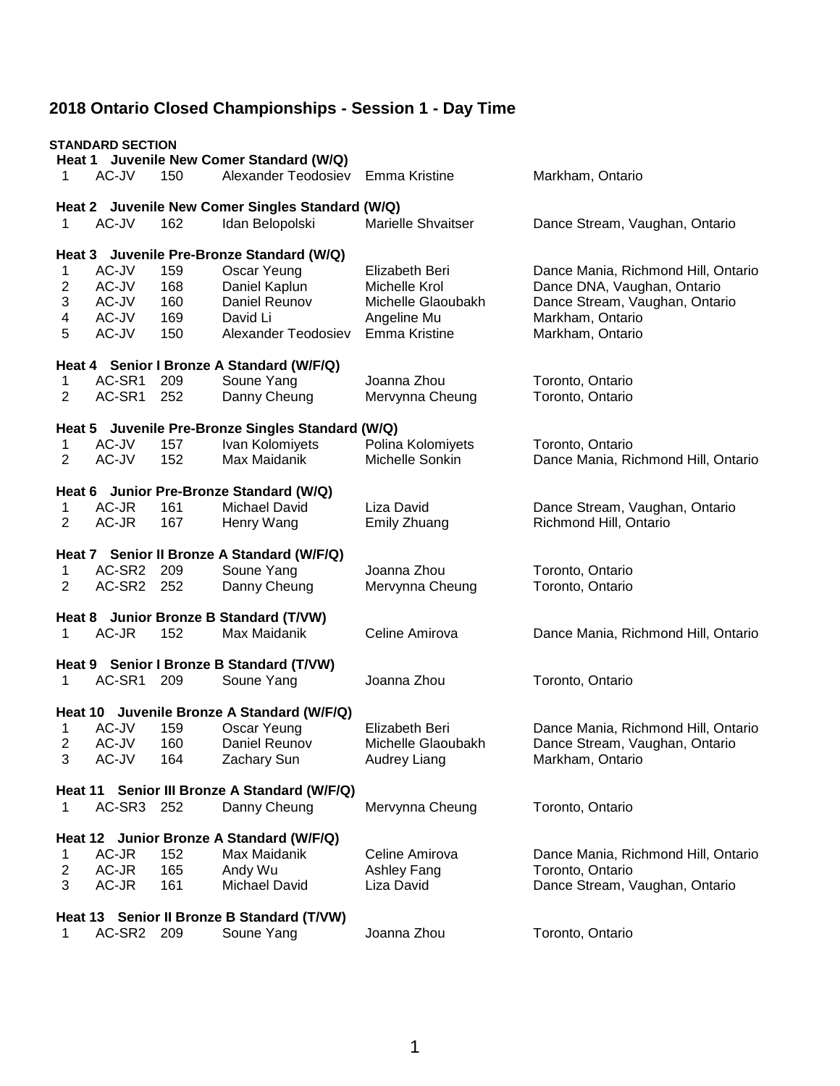|                         | <b>STANDARD SECTION</b> |     | Heat 1 Juvenile New Comer Standard (W/Q)          |                           |                                     |
|-------------------------|-------------------------|-----|---------------------------------------------------|---------------------------|-------------------------------------|
| 1                       | AC-JV                   | 150 | Alexander Teodosiev                               | Emma Kristine             | Markham, Ontario                    |
|                         |                         |     | Heat 2 Juvenile New Comer Singles Standard (W/Q)  |                           |                                     |
| 1                       | AC-JV                   | 162 | Idan Belopolski                                   | <b>Marielle Shvaitser</b> | Dance Stream, Vaughan, Ontario      |
|                         |                         |     | Heat 3 Juvenile Pre-Bronze Standard (W/Q)         |                           |                                     |
| 1                       | AC-JV                   | 159 | Oscar Yeung                                       | Elizabeth Beri            | Dance Mania, Richmond Hill, Ontario |
| 2                       | AC-JV                   | 168 | Daniel Kaplun                                     | Michelle Krol             | Dance DNA, Vaughan, Ontario         |
| 3                       | AC-JV                   | 160 | Daniel Reunov                                     | Michelle Glaoubakh        | Dance Stream, Vaughan, Ontario      |
| 4                       | AC-JV                   | 169 | David Li                                          | Angeline Mu               | Markham, Ontario                    |
| 5                       | AC-JV                   | 150 | Alexander Teodosiev                               | Emma Kristine             | Markham, Ontario                    |
|                         |                         |     | Heat 4 Senior I Bronze A Standard (W/F/Q)         |                           |                                     |
| 1                       | AC-SR1                  | 209 | Soune Yang                                        | Joanna Zhou               | Toronto, Ontario                    |
| 2                       | AC-SR1                  | 252 | Danny Cheung                                      | Mervynna Cheung           | Toronto, Ontario                    |
|                         |                         |     | Heat 5 Juvenile Pre-Bronze Singles Standard (W/Q) |                           |                                     |
| 1                       | AC-JV                   | 157 | Ivan Kolomiyets                                   | Polina Kolomiyets         | Toronto, Ontario                    |
| 2                       | AC-JV                   | 152 | Max Maidanik                                      | Michelle Sonkin           | Dance Mania, Richmond Hill, Ontario |
|                         |                         |     | Heat 6 Junior Pre-Bronze Standard (W/Q)           |                           |                                     |
| 1                       | AC-JR                   | 161 | <b>Michael David</b>                              | Liza David                | Dance Stream, Vaughan, Ontario      |
| $\overline{2}$          | AC-JR                   | 167 | Henry Wang                                        | Emily Zhuang              | Richmond Hill, Ontario              |
|                         |                         |     | Heat 7 Senior II Bronze A Standard (W/F/Q)        |                           |                                     |
| 1                       | AC-SR2                  | 209 | Soune Yang                                        | Joanna Zhou               | Toronto, Ontario                    |
| 2                       | AC-SR2 252              |     | Danny Cheung                                      | Mervynna Cheung           | Toronto, Ontario                    |
|                         |                         |     | Heat 8 Junior Bronze B Standard (T/VW)            |                           |                                     |
| 1                       | AC-JR                   | 152 | Max Maidanik                                      | Celine Amirova            | Dance Mania, Richmond Hill, Ontario |
|                         |                         |     | Heat 9 Senior I Bronze B Standard (T/VW)          |                           |                                     |
| 1                       | AC-SR1                  | 209 | Soune Yang                                        | Joanna Zhou               | Toronto, Ontario                    |
|                         |                         |     | Heat 10 Juvenile Bronze A Standard (W/F/Q)        |                           |                                     |
| 1                       | AC-JV                   | 159 | Oscar Yeung                                       | Elizabeth Beri            | Dance Mania, Richmond Hill, Ontario |
|                         | AC-JV                   | 160 | Daniel Reunov                                     | Michelle Glaoubakh        | Dance Stream, Vaughan, Ontario      |
| 3                       | AC-JV                   | 164 | Zachary Sun                                       | Audrey Liang              | Markham, Ontario                    |
|                         |                         |     | Heat 11 Senior III Bronze A Standard (W/F/Q)      |                           |                                     |
| 1                       | AC-SR3 252              |     | Danny Cheung                                      | Mervynna Cheung           | Toronto, Ontario                    |
|                         |                         |     | Heat 12 Junior Bronze A Standard (W/F/Q)          |                           |                                     |
| 1                       | AC-JR                   | 152 | Max Maidanik                                      | Celine Amirova            | Dance Mania, Richmond Hill, Ontario |
| $\overline{\mathbf{c}}$ | AC-JR                   | 165 | Andy Wu                                           | Ashley Fang               | Toronto, Ontario                    |
| 3                       | AC-JR                   | 161 | <b>Michael David</b>                              | Liza David                | Dance Stream, Vaughan, Ontario      |
|                         |                         |     | Heat 13 Senior II Bronze B Standard (T/VW)        |                           |                                     |
| 1                       | AC-SR2 209              |     | Soune Yang                                        | Joanna Zhou               | Toronto, Ontario                    |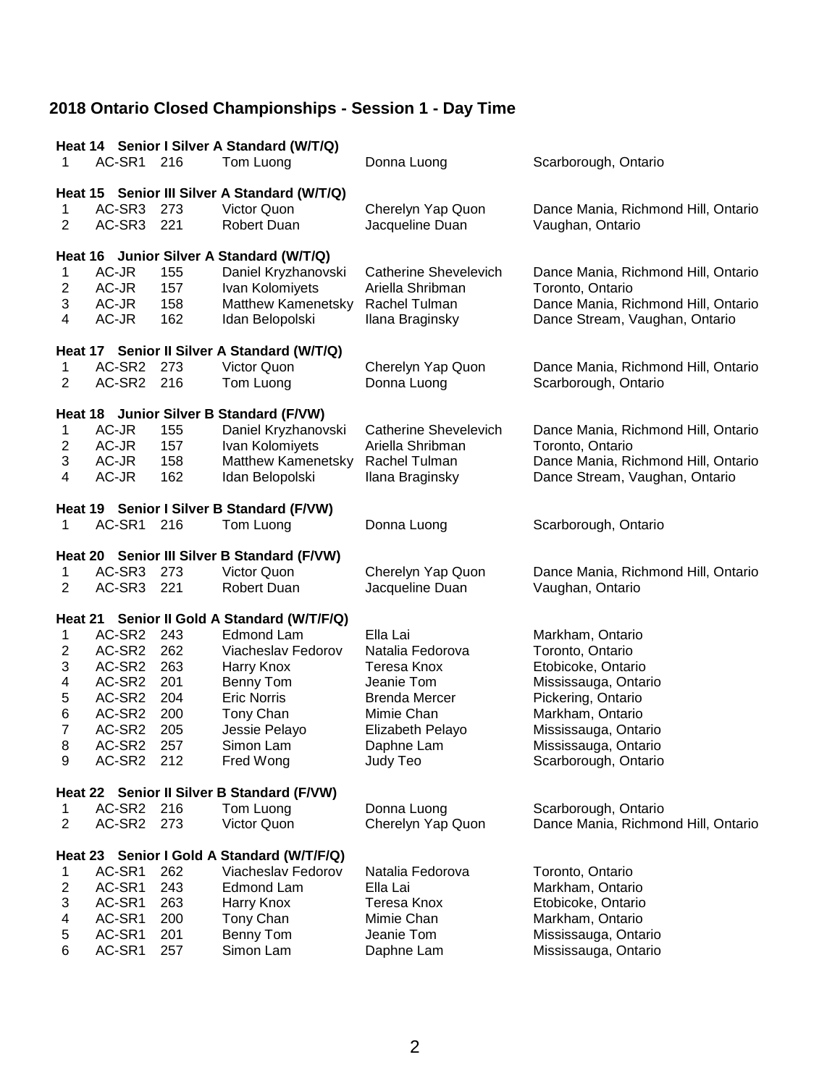|                           | Heat 14 Senior I Silver A Standard (W/T/Q) |     |                                              |                              |                                     |  |  |
|---------------------------|--------------------------------------------|-----|----------------------------------------------|------------------------------|-------------------------------------|--|--|
| 1                         | AC-SR1                                     | 216 | Tom Luong                                    | Donna Luong                  | Scarborough, Ontario                |  |  |
|                           |                                            |     |                                              |                              |                                     |  |  |
|                           |                                            |     | Heat 15 Senior III Silver A Standard (W/T/Q) |                              |                                     |  |  |
| 1                         | AC-SR3                                     | 273 | Victor Quon                                  | Cherelyn Yap Quon            | Dance Mania, Richmond Hill, Ontario |  |  |
| $\overline{2}$            | AC-SR3                                     | 221 | <b>Robert Duan</b>                           | Jacqueline Duan              | Vaughan, Ontario                    |  |  |
|                           |                                            |     |                                              |                              |                                     |  |  |
|                           |                                            |     | Heat 16 Junior Silver A Standard (W/T/Q)     |                              |                                     |  |  |
| 1                         | AC-JR                                      | 155 | Daniel Kryzhanovski                          | <b>Catherine Shevelevich</b> | Dance Mania, Richmond Hill, Ontario |  |  |
| $\overline{\mathbf{c}}$   | AC-JR                                      | 157 | Ivan Kolomiyets                              | Ariella Shribman             | Toronto, Ontario                    |  |  |
| 3                         | AC-JR                                      | 158 | Matthew Kamenetsky                           | Rachel Tulman                | Dance Mania, Richmond Hill, Ontario |  |  |
| 4                         | AC-JR                                      | 162 | Idan Belopolski                              | Ilana Braginsky              | Dance Stream, Vaughan, Ontario      |  |  |
|                           |                                            |     |                                              |                              |                                     |  |  |
|                           |                                            |     | Heat 17 Senior II Silver A Standard (W/T/Q)  |                              |                                     |  |  |
| 1                         | AC-SR2 273                                 |     | Victor Quon                                  | Cherelyn Yap Quon            | Dance Mania, Richmond Hill, Ontario |  |  |
| 2                         | AC-SR2                                     | 216 | Tom Luong                                    | Donna Luong                  | Scarborough, Ontario                |  |  |
|                           |                                            |     |                                              |                              |                                     |  |  |
|                           |                                            |     | Heat 18 Junior Silver B Standard (F/VW)      |                              |                                     |  |  |
| 1                         | AC-JR                                      | 155 | Daniel Kryzhanovski                          | <b>Catherine Shevelevich</b> | Dance Mania, Richmond Hill, Ontario |  |  |
| $\overline{c}$            | AC-JR                                      | 157 | Ivan Kolomiyets                              | Ariella Shribman             | Toronto, Ontario                    |  |  |
| 3                         | AC-JR                                      | 158 | Matthew Kamenetsky                           | Rachel Tulman                | Dance Mania, Richmond Hill, Ontario |  |  |
| 4                         | AC-JR                                      | 162 | Idan Belopolski                              | Ilana Braginsky              | Dance Stream, Vaughan, Ontario      |  |  |
|                           |                                            |     |                                              |                              |                                     |  |  |
|                           | AC-SR1                                     |     | Heat 19 Senior I Silver B Standard (F/VW)    |                              |                                     |  |  |
| 1                         |                                            | 216 | Tom Luong                                    | Donna Luong                  | Scarborough, Ontario                |  |  |
|                           |                                            |     | Heat 20 Senior III Silver B Standard (F/VW)  |                              |                                     |  |  |
| 1                         | AC-SR3 273                                 |     | Victor Quon                                  | Cherelyn Yap Quon            | Dance Mania, Richmond Hill, Ontario |  |  |
| $\overline{2}$            | AC-SR3                                     | 221 | <b>Robert Duan</b>                           | Jacqueline Duan              | Vaughan, Ontario                    |  |  |
|                           |                                            |     |                                              |                              |                                     |  |  |
|                           |                                            |     | Heat 21 Senior II Gold A Standard (W/T/F/Q)  |                              |                                     |  |  |
| 1                         | AC-SR2                                     | 243 | Edmond Lam                                   | Ella Lai                     | Markham, Ontario                    |  |  |
| $\overline{\mathbf{c}}$   | AC-SR2                                     | 262 | Viacheslav Fedorov                           | Natalia Fedorova             | Toronto, Ontario                    |  |  |
| 3                         | AC-SR2                                     | 263 | Harry Knox                                   | Teresa Knox                  | Etobicoke, Ontario                  |  |  |
| 4                         | AC-SR2                                     | 201 | Benny Tom                                    | Jeanie Tom                   | Mississauga, Ontario                |  |  |
| 5                         | AC-SR2                                     | 204 | <b>Eric Norris</b>                           | <b>Brenda Mercer</b>         | Pickering, Ontario                  |  |  |
| 6                         | AC-SR2                                     | 200 | Tony Chan                                    | Mimie Chan                   | Markham, Ontario                    |  |  |
| $\overline{7}$            | AC-SR2                                     | 205 | Jessie Pelayo                                | Elizabeth Pelayo             | Mississauga, Ontario                |  |  |
| 8                         | AC-SR2                                     | 257 | Simon Lam                                    | Daphne Lam                   | Mississauga, Ontario                |  |  |
| 9                         | AC-SR2                                     | 212 | Fred Wong                                    | Judy Teo                     | Scarborough, Ontario                |  |  |
|                           |                                            |     |                                              |                              |                                     |  |  |
|                           |                                            |     | Heat 22 Senior II Silver B Standard (F/VW)   |                              |                                     |  |  |
| 1                         | AC-SR2                                     | 216 | Tom Luong                                    | Donna Luong                  | Scarborough, Ontario                |  |  |
| $\overline{2}$            | AC-SR2 273                                 |     | Victor Quon                                  | Cherelyn Yap Quon            | Dance Mania, Richmond Hill, Ontario |  |  |
|                           |                                            |     |                                              |                              |                                     |  |  |
|                           |                                            |     | Heat 23 Senior I Gold A Standard (W/T/F/Q)   |                              |                                     |  |  |
| 1                         | AC-SR1                                     | 262 | Viacheslav Fedorov                           | Natalia Fedorova             | Toronto, Ontario                    |  |  |
| 2                         | AC-SR1                                     | 243 | <b>Edmond Lam</b>                            | Ella Lai                     | Markham, Ontario                    |  |  |
| $\ensuremath{\mathsf{3}}$ | AC-SR1                                     | 263 | Harry Knox                                   | Teresa Knox                  | Etobicoke, Ontario                  |  |  |
| 4                         | AC-SR1                                     | 200 | Tony Chan                                    | Mimie Chan                   | Markham, Ontario                    |  |  |
| $\mathbf 5$               | AC-SR1                                     | 201 | Benny Tom                                    | Jeanie Tom                   | Mississauga, Ontario                |  |  |
| 6                         | AC-SR1                                     | 257 | Simon Lam                                    | Daphne Lam                   | Mississauga, Ontario                |  |  |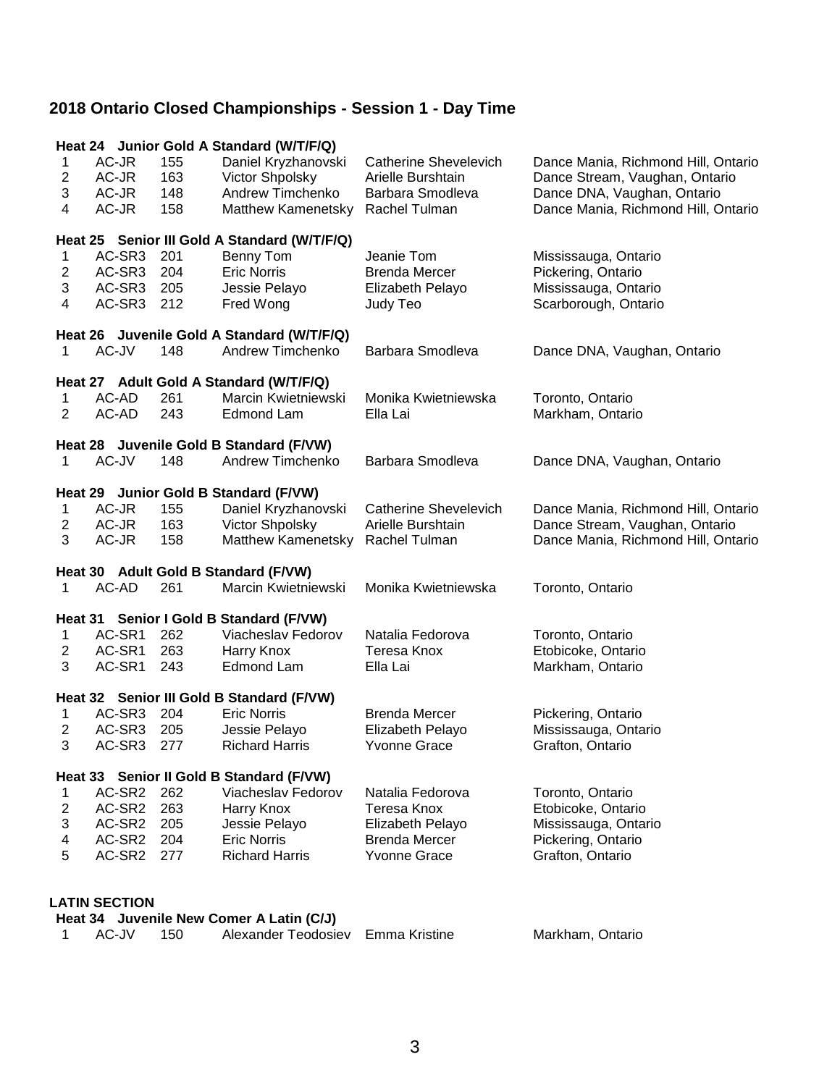|                         |                      |     | Heat 24 Junior Gold A Standard (W/T/F/Q)                        |                              |                                     |
|-------------------------|----------------------|-----|-----------------------------------------------------------------|------------------------------|-------------------------------------|
| 1                       | AC-JR                | 155 | Daniel Kryzhanovski                                             | <b>Catherine Shevelevich</b> | Dance Mania, Richmond Hill, Ontario |
| $\overline{\mathbf{c}}$ | AC-JR                | 163 | Victor Shpolsky                                                 | Arielle Burshtain            | Dance Stream, Vaughan, Ontario      |
| 3                       | AC-JR                | 148 | Andrew Timchenko                                                | Barbara Smodleva             | Dance DNA, Vaughan, Ontario         |
| 4                       | AC-JR                | 158 | Matthew Kamenetsky                                              | Rachel Tulman                | Dance Mania, Richmond Hill, Ontario |
|                         |                      |     |                                                                 |                              |                                     |
|                         |                      |     | Heat 25 Senior III Gold A Standard (W/T/F/Q)                    |                              |                                     |
| 1                       | AC-SR3               | 201 | Benny Tom                                                       | Jeanie Tom                   | Mississauga, Ontario                |
| $\overline{\mathbf{c}}$ | AC-SR3               | 204 | <b>Eric Norris</b>                                              | <b>Brenda Mercer</b>         | Pickering, Ontario                  |
| 3                       | AC-SR3               | 205 | Jessie Pelayo                                                   | Elizabeth Pelayo             | Mississauga, Ontario                |
| 4                       | AC-SR3               | 212 | Fred Wong                                                       | Judy Teo                     | Scarborough, Ontario                |
|                         |                      |     |                                                                 |                              |                                     |
|                         |                      |     | Heat 26 Juvenile Gold A Standard (W/T/F/Q)                      |                              |                                     |
| 1                       | AC-JV                | 148 | Andrew Timchenko                                                | Barbara Smodleva             | Dance DNA, Vaughan, Ontario         |
|                         |                      |     | Heat 27 Adult Gold A Standard (W/T/F/Q)                         |                              |                                     |
| 1                       | AC-AD                | 261 | Marcin Kwietniewski                                             | Monika Kwietniewska          | Toronto, Ontario                    |
| $\overline{2}$          | AC-AD                | 243 | Edmond Lam                                                      | Ella Lai                     | Markham, Ontario                    |
|                         |                      |     |                                                                 |                              |                                     |
|                         |                      |     | Heat 28 Juvenile Gold B Standard (F/VW)                         |                              |                                     |
| 1                       | AC-JV                | 148 | Andrew Timchenko                                                | Barbara Smodleva             | Dance DNA, Vaughan, Ontario         |
|                         |                      |     |                                                                 |                              |                                     |
|                         |                      |     | Heat 29 Junior Gold B Standard (F/VW)                           |                              |                                     |
| 1                       | AC-JR                | 155 | Daniel Kryzhanovski                                             | <b>Catherine Shevelevich</b> | Dance Mania, Richmond Hill, Ontario |
| $\overline{\mathbf{c}}$ | AC-JR                | 163 | Victor Shpolsky                                                 | Arielle Burshtain            | Dance Stream, Vaughan, Ontario      |
| 3                       | AC-JR                | 158 | Matthew Kamenetsky Rachel Tulman                                |                              | Dance Mania, Richmond Hill, Ontario |
|                         |                      |     |                                                                 |                              |                                     |
|                         |                      |     | Heat 30 Adult Gold B Standard (F/VW)                            |                              |                                     |
| 1                       | AC-AD                | 261 | Marcin Kwietniewski                                             | Monika Kwietniewska          | Toronto, Ontario                    |
|                         |                      |     | Heat 31 Senior I Gold B Standard (F/VW)                         |                              |                                     |
| 1                       | AC-SR1               | 262 | Viacheslav Fedorov                                              | Natalia Fedorova             | Toronto, Ontario                    |
| $\overline{c}$          | AC-SR1               | 263 | Harry Knox                                                      | Teresa Knox                  | Etobicoke, Ontario                  |
| 3                       | AC-SR1               | 243 | Edmond Lam                                                      | Ella Lai                     | Markham, Ontario                    |
|                         |                      |     |                                                                 |                              |                                     |
|                         |                      |     | Heat 32 Senior III Gold B Standard (F/VW)                       |                              |                                     |
| 1                       | AC-SR3               | 204 | <b>Eric Norris</b>                                              | <b>Brenda Mercer</b>         | Pickering, Ontario                  |
| $\overline{\mathbf{c}}$ | AC-SR3               | 205 | Jessie Pelayo                                                   | Elizabeth Pelayo             | Mississauga, Ontario                |
| 3                       | AC-SR3               | 277 | <b>Richard Harris</b>                                           | <b>Yvonne Grace</b>          | Grafton, Ontario                    |
|                         |                      |     |                                                                 |                              |                                     |
|                         |                      |     | Heat 33 Senior II Gold B Standard (F/VW)                        |                              |                                     |
| 1                       | AC-SR <sub>2</sub>   | 262 | Viacheslav Fedorov                                              | Natalia Fedorova             | Toronto, Ontario                    |
| $\overline{c}$          | AC-SR2               | 263 | Harry Knox                                                      | Teresa Knox                  | Etobicoke, Ontario                  |
| 3                       | AC-SR2               | 205 | Jessie Pelayo                                                   | Elizabeth Pelayo             | Mississauga, Ontario                |
| 4                       | AC-SR2               | 204 | <b>Eric Norris</b>                                              | <b>Brenda Mercer</b>         | Pickering, Ontario                  |
| 5                       | AC-SR2               | 277 | <b>Richard Harris</b>                                           | <b>Yvonne Grace</b>          | Grafton, Ontario                    |
|                         |                      |     |                                                                 |                              |                                     |
|                         |                      |     |                                                                 |                              |                                     |
|                         | <b>LATIN SECTION</b> |     |                                                                 |                              |                                     |
|                         |                      |     | Heat 34 Juvenile New Comer A Latin (C/J)<br>Alexander Teodosiev |                              |                                     |
| 1                       | AC-JV                | 150 |                                                                 | <b>Emma Kristine</b>         | Markham, Ontario                    |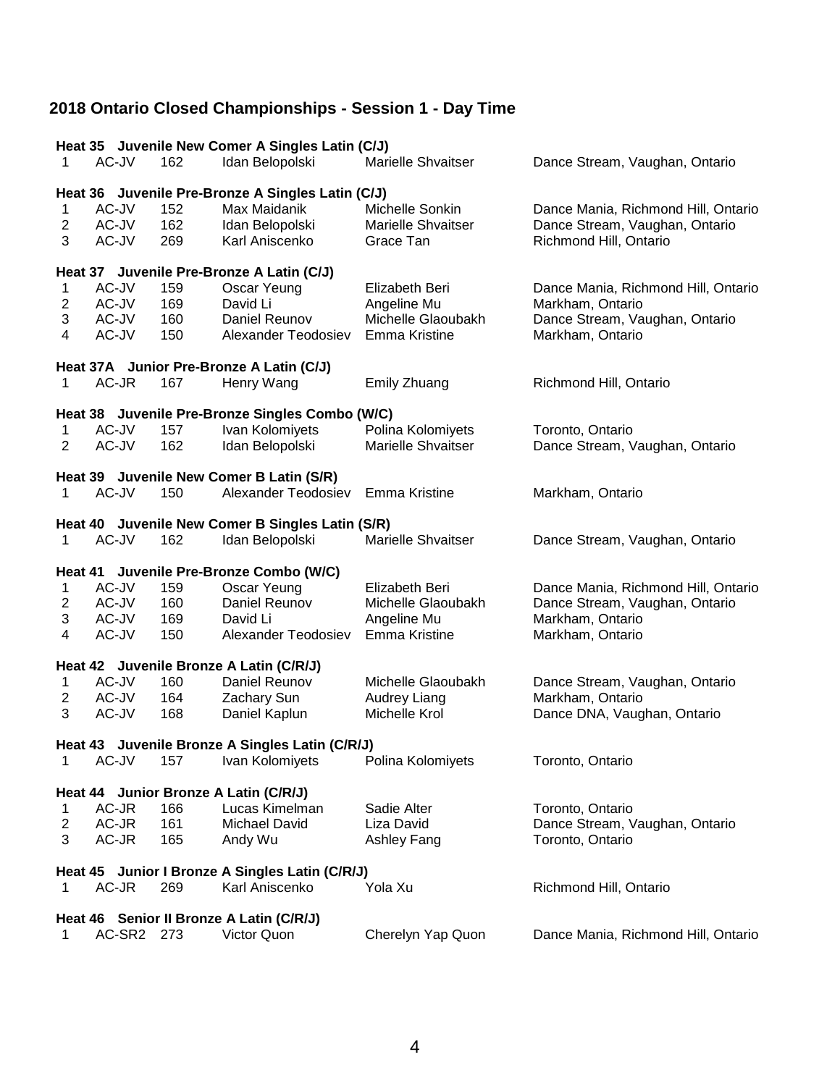|                         | Heat 35 Juvenile New Comer A Singles Latin (C/J) |     |                                                   |                           |                                     |  |  |
|-------------------------|--------------------------------------------------|-----|---------------------------------------------------|---------------------------|-------------------------------------|--|--|
| 1                       | AC-JV                                            | 162 | Idan Belopolski                                   | <b>Marielle Shvaitser</b> | Dance Stream, Vaughan, Ontario      |  |  |
|                         |                                                  |     |                                                   |                           |                                     |  |  |
|                         |                                                  |     | Heat 36 Juvenile Pre-Bronze A Singles Latin (C/J) |                           |                                     |  |  |
| 1                       | AC-JV                                            | 152 | Max Maidanik                                      | Michelle Sonkin           | Dance Mania, Richmond Hill, Ontario |  |  |
| $\overline{c}$          | AC-JV                                            | 162 | Idan Belopolski                                   | <b>Marielle Shvaitser</b> | Dance Stream, Vaughan, Ontario      |  |  |
| 3                       | AC-JV                                            | 269 | Karl Aniscenko                                    | Grace Tan                 | Richmond Hill, Ontario              |  |  |
|                         |                                                  |     | Heat 37 Juvenile Pre-Bronze A Latin (C/J)         |                           |                                     |  |  |
| 1                       | AC-JV                                            | 159 | Oscar Yeung                                       | Elizabeth Beri            | Dance Mania, Richmond Hill, Ontario |  |  |
| 2                       | AC-JV                                            | 169 | David Li                                          | Angeline Mu               | Markham, Ontario                    |  |  |
| 3                       | AC-JV                                            | 160 | Daniel Reunov                                     | Michelle Glaoubakh        | Dance Stream, Vaughan, Ontario      |  |  |
| 4                       | AC-JV                                            | 150 | Alexander Teodosiev                               | Emma Kristine             | Markham, Ontario                    |  |  |
|                         |                                                  |     |                                                   |                           |                                     |  |  |
|                         |                                                  |     | Heat 37A Junior Pre-Bronze A Latin (C/J)          |                           |                                     |  |  |
| 1                       | AC-JR                                            | 167 | Henry Wang                                        | Emily Zhuang              | Richmond Hill, Ontario              |  |  |
|                         |                                                  |     |                                                   |                           |                                     |  |  |
|                         |                                                  |     | Heat 38 Juvenile Pre-Bronze Singles Combo (W/C)   |                           |                                     |  |  |
| 1                       | AC-JV                                            | 157 | Ivan Kolomiyets                                   | Polina Kolomiyets         | Toronto, Ontario                    |  |  |
| 2                       | AC-JV                                            | 162 | Idan Belopolski                                   | <b>Marielle Shvaitser</b> | Dance Stream, Vaughan, Ontario      |  |  |
|                         |                                                  |     | Heat 39 Juvenile New Comer B Latin (S/R)          |                           |                                     |  |  |
| 1                       | AC-JV                                            | 150 | Alexander Teodosiev                               | Emma Kristine             | Markham, Ontario                    |  |  |
|                         |                                                  |     |                                                   |                           |                                     |  |  |
|                         |                                                  |     | Heat 40 Juvenile New Comer B Singles Latin (S/R)  |                           |                                     |  |  |
| 1                       | AC-JV                                            | 162 | Idan Belopolski                                   | <b>Marielle Shvaitser</b> | Dance Stream, Vaughan, Ontario      |  |  |
|                         |                                                  |     |                                                   |                           |                                     |  |  |
|                         |                                                  |     | Heat 41 Juvenile Pre-Bronze Combo (W/C)           |                           |                                     |  |  |
| 1                       | AC-JV                                            | 159 | Oscar Yeung                                       | Elizabeth Beri            | Dance Mania, Richmond Hill, Ontario |  |  |
| $\overline{\mathbf{c}}$ | AC-JV                                            | 160 | Daniel Reunov                                     | Michelle Glaoubakh        | Dance Stream, Vaughan, Ontario      |  |  |
| 3                       | AC-JV                                            | 169 | David Li                                          | Angeline Mu               | Markham, Ontario                    |  |  |
| 4                       | AC-JV                                            | 150 | Alexander Teodosiev                               | Emma Kristine             | Markham, Ontario                    |  |  |
|                         |                                                  |     | Heat 42 Juvenile Bronze A Latin (C/R/J)           |                           |                                     |  |  |
| 1                       | AC-JV                                            | 160 | Daniel Reunov                                     | Michelle Glaoubakh        | Dance Stream, Vaughan, Ontario      |  |  |
| $\overline{c}$          | AC-JV                                            | 164 | Zachary Sun                                       | Audrey Liang              | Markham, Ontario                    |  |  |
| 3                       | AC-JV                                            | 168 | Daniel Kaplun                                     | Michelle Krol             | Dance DNA, Vaughan, Ontario         |  |  |
|                         |                                                  |     |                                                   |                           |                                     |  |  |
|                         |                                                  |     | Heat 43 Juvenile Bronze A Singles Latin (C/R/J)   |                           |                                     |  |  |
| 1                       | AC-JV                                            | 157 | Ivan Kolomiyets                                   | Polina Kolomiyets         | Toronto, Ontario                    |  |  |
|                         | Heat 44 Junior Bronze A Latin (C/R/J)            |     |                                                   |                           |                                     |  |  |
| 1                       | AC-JR                                            | 166 | Lucas Kimelman                                    | Sadie Alter               | Toronto, Ontario                    |  |  |
| $\overline{c}$          | AC-JR                                            | 161 | Michael David                                     | Liza David                | Dance Stream, Vaughan, Ontario      |  |  |
| 3                       | AC-JR                                            | 165 | Andy Wu                                           | Ashley Fang               | Toronto, Ontario                    |  |  |
|                         |                                                  |     |                                                   |                           |                                     |  |  |
|                         |                                                  |     | Heat 45 Junior I Bronze A Singles Latin (C/R/J)   |                           |                                     |  |  |
| 1                       | AC-JR                                            | 269 | Karl Aniscenko                                    | Yola Xu                   | Richmond Hill, Ontario              |  |  |
|                         |                                                  |     |                                                   |                           |                                     |  |  |
|                         |                                                  |     | Heat 46 Senior II Bronze A Latin (C/R/J)          |                           |                                     |  |  |
| 1                       | AC-SR2 273                                       |     | Victor Quon                                       | Cherelyn Yap Quon         | Dance Mania, Richmond Hill, Ontario |  |  |
|                         |                                                  |     |                                                   |                           |                                     |  |  |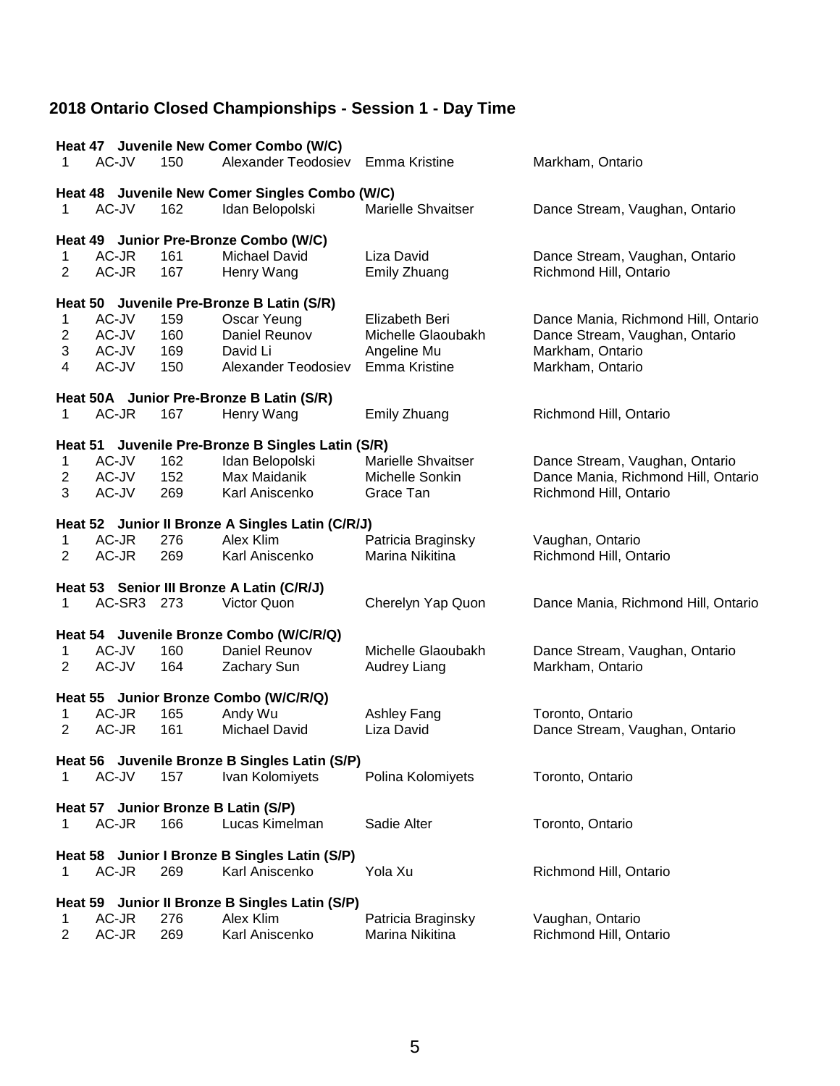|                | Heat 47 Juvenile New Comer Combo (W/C)         |     |                                                   |                           |                                     |  |  |  |  |
|----------------|------------------------------------------------|-----|---------------------------------------------------|---------------------------|-------------------------------------|--|--|--|--|
| 1              | AC-JV                                          | 150 | Alexander Teodosiev                               | Emma Kristine             | Markham, Ontario                    |  |  |  |  |
|                | Heat 48 Juvenile New Comer Singles Combo (W/C) |     |                                                   |                           |                                     |  |  |  |  |
| 1              | AC-JV                                          | 162 | Idan Belopolski                                   | Marielle Shvaitser        | Dance Stream, Vaughan, Ontario      |  |  |  |  |
|                | Heat 49 Junior Pre-Bronze Combo (W/C)          |     |                                                   |                           |                                     |  |  |  |  |
| $\mathbf 1$    | AC-JR                                          | 161 | Michael David                                     | Liza David                | Dance Stream, Vaughan, Ontario      |  |  |  |  |
| $\overline{2}$ | AC-JR                                          | 167 | Henry Wang                                        | <b>Emily Zhuang</b>       | Richmond Hill, Ontario              |  |  |  |  |
|                |                                                |     | Heat 50 Juvenile Pre-Bronze B Latin (S/R)         |                           |                                     |  |  |  |  |
| 1              | AC-JV                                          | 159 | Oscar Yeung                                       | Elizabeth Beri            | Dance Mania, Richmond Hill, Ontario |  |  |  |  |
| $\overline{c}$ | AC-JV                                          | 160 | Daniel Reunov                                     | Michelle Glaoubakh        | Dance Stream, Vaughan, Ontario      |  |  |  |  |
| 3              | AC-JV                                          | 169 | David Li                                          | Angeline Mu               | Markham, Ontario                    |  |  |  |  |
| 4              | AC-JV                                          | 150 | Alexander Teodosiev                               | Emma Kristine             | Markham, Ontario                    |  |  |  |  |
|                |                                                |     | Heat 50A Junior Pre-Bronze B Latin (S/R)          |                           |                                     |  |  |  |  |
| 1              | AC-JR                                          | 167 | Henry Wang                                        | Emily Zhuang              | Richmond Hill, Ontario              |  |  |  |  |
|                |                                                |     | Heat 51 Juvenile Pre-Bronze B Singles Latin (S/R) |                           |                                     |  |  |  |  |
| 1              | AC-JV                                          | 162 | Idan Belopolski                                   | <b>Marielle Shvaitser</b> | Dance Stream, Vaughan, Ontario      |  |  |  |  |
| $\overline{2}$ | AC-JV                                          | 152 | Max Maidanik                                      | Michelle Sonkin           | Dance Mania, Richmond Hill, Ontario |  |  |  |  |
| 3              | AC-JV                                          | 269 | Karl Aniscenko                                    | Grace Tan                 | Richmond Hill, Ontario              |  |  |  |  |
|                |                                                |     | Heat 52 Junior II Bronze A Singles Latin (C/R/J)  |                           |                                     |  |  |  |  |
| 1              | AC-JR                                          | 276 | Alex Klim                                         | Patricia Braginsky        | Vaughan, Ontario                    |  |  |  |  |
| 2              | AC-JR                                          | 269 | Karl Aniscenko                                    | Marina Nikitina           | Richmond Hill, Ontario              |  |  |  |  |
|                |                                                |     | Heat 53 Senior III Bronze A Latin (C/R/J)         |                           |                                     |  |  |  |  |
| 1              | AC-SR3 273                                     |     | Victor Quon                                       | Cherelyn Yap Quon         | Dance Mania, Richmond Hill, Ontario |  |  |  |  |
|                |                                                |     | Heat 54 Juvenile Bronze Combo (W/C/R/Q)           |                           |                                     |  |  |  |  |
| 1              | AC-JV                                          | 160 | Daniel Reunov                                     | Michelle Glaoubakh        | Dance Stream, Vaughan, Ontario      |  |  |  |  |
| $\overline{2}$ | AC-JV                                          | 164 | Zachary Sun                                       | Audrey Liang              | Markham, Ontario                    |  |  |  |  |
|                |                                                |     | Heat 55 Junior Bronze Combo (W/C/R/Q)             |                           |                                     |  |  |  |  |
| 1              | AC-JR                                          | 165 | Andy Wu                                           | Ashley Fang               | Toronto, Ontario                    |  |  |  |  |
| 2              | AC-JR                                          | 161 | <b>Michael David</b>                              | Liza David                | Dance Stream, Vaughan, Ontario      |  |  |  |  |
|                |                                                |     | Heat 56 Juvenile Bronze B Singles Latin (S/P)     |                           |                                     |  |  |  |  |
| 1              | AC-JV                                          | 157 | Ivan Kolomiyets                                   | Polina Kolomiyets         | Toronto, Ontario                    |  |  |  |  |
|                |                                                |     | Heat 57 Junior Bronze B Latin (S/P)               |                           |                                     |  |  |  |  |
| 1              | AC-JR                                          | 166 | Lucas Kimelman                                    | Sadie Alter               | Toronto, Ontario                    |  |  |  |  |
|                |                                                |     | Heat 58 Junior I Bronze B Singles Latin (S/P)     |                           |                                     |  |  |  |  |
| 1              | AC-JR                                          | 269 | Karl Aniscenko                                    | Yola Xu                   | Richmond Hill, Ontario              |  |  |  |  |
|                |                                                |     | Heat 59 Junior II Bronze B Singles Latin (S/P)    |                           |                                     |  |  |  |  |
| 1              | AC-JR                                          | 276 | Alex Klim                                         | Patricia Braginsky        | Vaughan, Ontario                    |  |  |  |  |
| $\overline{c}$ | AC-JR                                          | 269 | Karl Aniscenko                                    | Marina Nikitina           | Richmond Hill, Ontario              |  |  |  |  |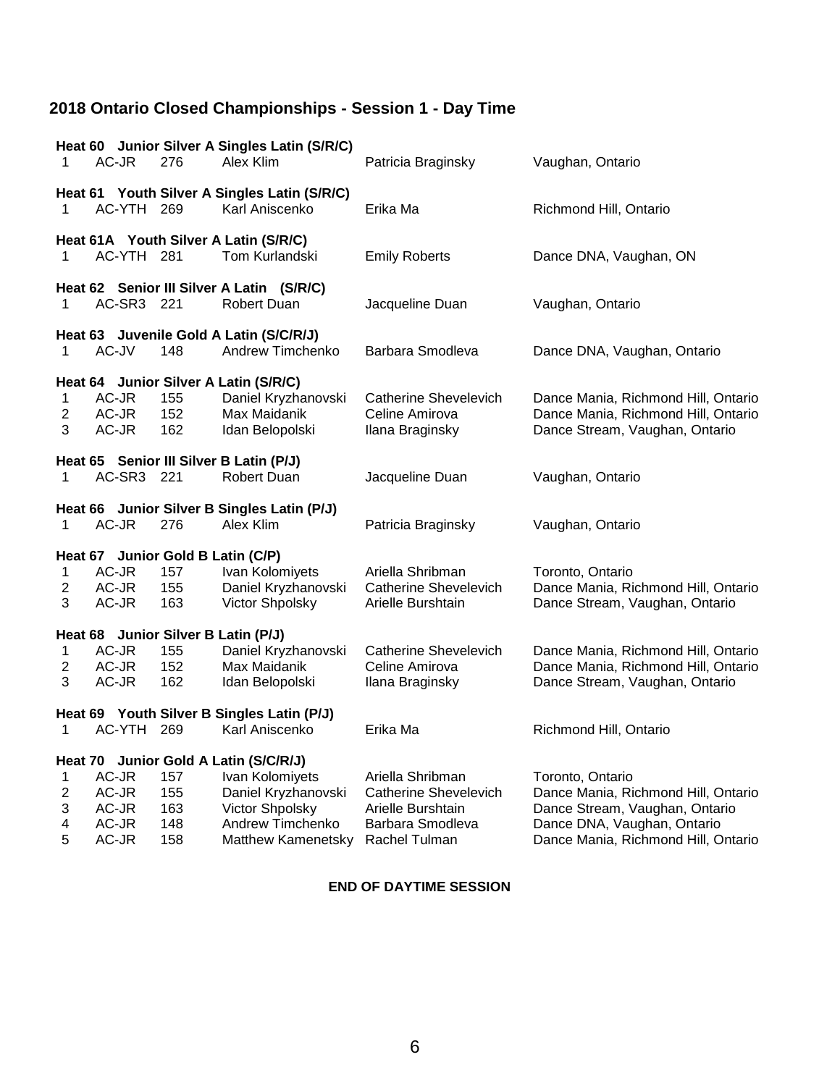| 1                                           | AC-JR                                     | 276                             | Heat 60 Junior Silver A Singles Latin (S/R/C)<br>Alex Klim                                                                                                 | Patricia Braginsky                                                                 | Vaughan, Ontario                                                                                                                                                |
|---------------------------------------------|-------------------------------------------|---------------------------------|------------------------------------------------------------------------------------------------------------------------------------------------------------|------------------------------------------------------------------------------------|-----------------------------------------------------------------------------------------------------------------------------------------------------------------|
| 1                                           | AC-YTH 269                                |                                 | Heat 61 Youth Silver A Singles Latin (S/R/C)<br>Karl Aniscenko                                                                                             | Erika Ma                                                                           | Richmond Hill, Ontario                                                                                                                                          |
| 1                                           | AC-YTH 281                                |                                 | Heat 61A Youth Silver A Latin (S/R/C)<br>Tom Kurlandski                                                                                                    | <b>Emily Roberts</b>                                                               | Dance DNA, Vaughan, ON                                                                                                                                          |
| 1                                           | AC-SR3 221                                |                                 | Heat 62 Senior III Silver A Latin (S/R/C)<br>Robert Duan                                                                                                   | Jacqueline Duan                                                                    | Vaughan, Ontario                                                                                                                                                |
| 1                                           | AC-JV                                     | 148                             | Heat 63 Juvenile Gold A Latin (S/C/R/J)<br>Andrew Timchenko                                                                                                | Barbara Smodleva                                                                   | Dance DNA, Vaughan, Ontario                                                                                                                                     |
| 1<br>$\overline{2}$<br>3                    | AC-JR<br>AC-JR<br>AC-JR                   | 155<br>152<br>162               | Heat 64 Junior Silver A Latin (S/R/C)<br>Daniel Kryzhanovski<br>Max Maidanik<br>Idan Belopolski                                                            | Catherine Shevelevich<br>Celine Amirova<br>Ilana Braginsky                         | Dance Mania, Richmond Hill, Ontario<br>Dance Mania, Richmond Hill, Ontario<br>Dance Stream, Vaughan, Ontario                                                    |
| 1                                           | AC-SR3 221                                |                                 | Heat 65 Senior III Silver B Latin (P/J)<br>Robert Duan                                                                                                     | Jacqueline Duan                                                                    | Vaughan, Ontario                                                                                                                                                |
| 1                                           | AC-JR                                     | 276                             | Heat 66 Junior Silver B Singles Latin (P/J)<br>Alex Klim                                                                                                   | Patricia Braginsky                                                                 | Vaughan, Ontario                                                                                                                                                |
| 1<br>$\overline{c}$<br>3                    | AC-JR<br>AC-JR<br>AC-JR                   | 157<br>155<br>163               | Heat 67 Junior Gold B Latin (C/P)<br>Ivan Kolomiyets<br>Daniel Kryzhanovski<br>Victor Shpolsky                                                             | Ariella Shribman<br><b>Catherine Shevelevich</b><br>Arielle Burshtain              | Toronto, Ontario<br>Dance Mania, Richmond Hill, Ontario<br>Dance Stream, Vaughan, Ontario                                                                       |
| 1<br>$\overline{c}$<br>3                    | AC-JR<br>AC-JR<br>AC-JR                   | 155<br>152<br>162               | Heat 68 Junior Silver B Latin (P/J)<br>Daniel Kryzhanovski<br>Max Maidanik<br>Idan Belopolski                                                              | Catherine Shevelevich<br>Celine Amirova<br>Ilana Braginsky                         | Dance Mania, Richmond Hill, Ontario<br>Dance Mania, Richmond Hill, Ontario<br>Dance Stream, Vaughan, Ontario                                                    |
| 1                                           | AC-YTH                                    | - 269                           | Heat 69 Youth Silver B Singles Latin (P/J)<br>Karl Aniscenko                                                                                               | Erika Ma                                                                           | Richmond Hill, Ontario                                                                                                                                          |
| 1<br>$\overline{\mathbf{c}}$<br>3<br>4<br>5 | AC-JR<br>AC-JR<br>AC-JR<br>AC-JR<br>AC-JR | 157<br>155<br>163<br>148<br>158 | Heat 70 Junior Gold A Latin (S/C/R/J)<br>Ivan Kolomiyets<br>Daniel Kryzhanovski<br>Victor Shpolsky<br>Andrew Timchenko<br>Matthew Kamenetsky Rachel Tulman | Ariella Shribman<br>Catherine Shevelevich<br>Arielle Burshtain<br>Barbara Smodleva | Toronto, Ontario<br>Dance Mania, Richmond Hill, Ontario<br>Dance Stream, Vaughan, Ontario<br>Dance DNA, Vaughan, Ontario<br>Dance Mania, Richmond Hill, Ontario |

### **END OF DAYTIME SESSION**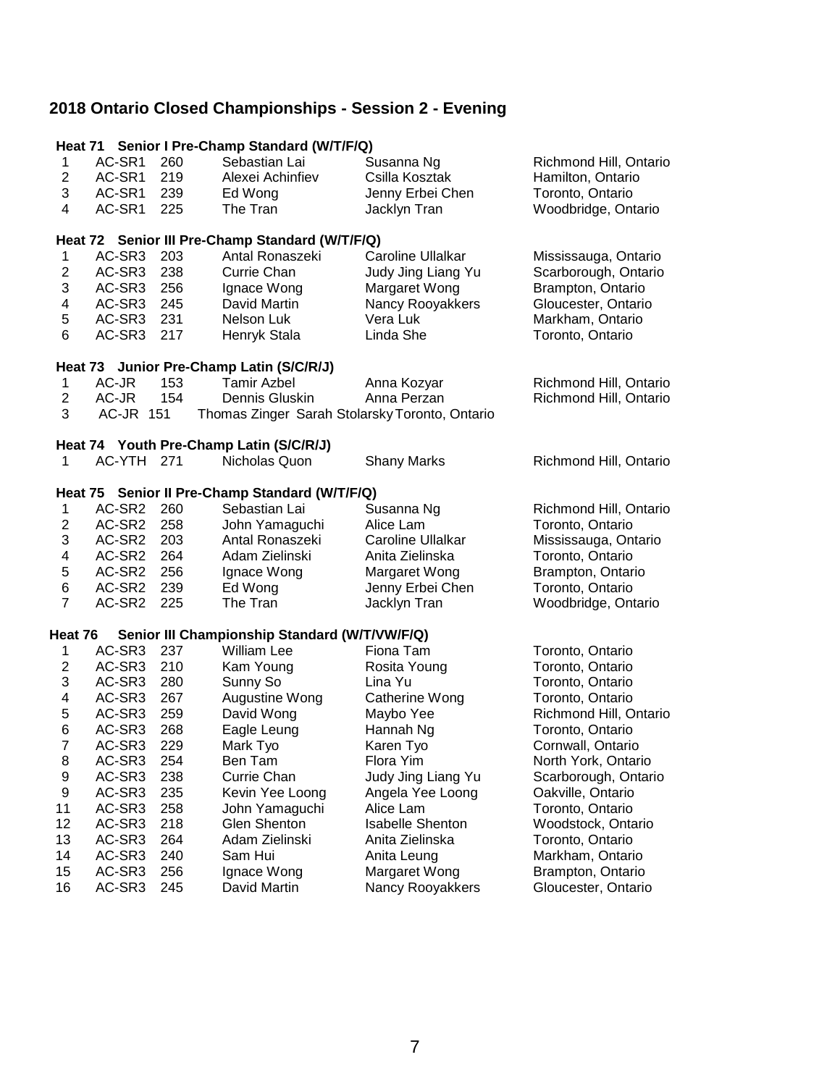| AC-SR1<br>$\mathbf 1$<br>260<br>Sebastian Lai<br>Susanna Ng<br>Richmond Hill, Ontario<br>$\overline{c}$<br>AC-SR1<br>219<br>Csilla Kosztak<br>Alexei Achinfiev<br>Hamilton, Ontario<br>3<br>AC-SR1<br>239<br>Jenny Erbei Chen<br>Toronto, Ontario<br>Ed Wong<br>AC-SR1<br>225<br>4<br>The Tran<br>Jacklyn Tran<br>Woodbridge, Ontario<br>Heat 72 Senior III Pre-Champ Standard (W/T/F/Q)<br>AC-SR3<br>$\mathbf 1$<br>203<br>Antal Ronaszeki<br><b>Caroline Ullalkar</b><br>Mississauga, Ontario<br>$\mathbf 2$<br>AC-SR3<br>238<br><b>Currie Chan</b><br>Judy Jing Liang Yu<br>Scarborough, Ontario<br>3<br>AC-SR3<br>256<br>Margaret Wong<br>Brampton, Ontario<br>Ignace Wong<br>4<br>AC-SR3<br>245<br>David Martin<br>Nancy Rooyakkers<br>Gloucester, Ontario<br>5<br>AC-SR3<br>231<br>Nelson Luk<br>Vera Luk<br>Markham, Ontario<br>6<br>217<br>AC-SR3<br>Henryk Stala<br>Linda She<br>Toronto, Ontario<br>Heat 73 Junior Pre-Champ Latin (S/C/R/J)<br>$\mathbf 1$<br>AC-JR<br>153<br><b>Tamir Azbel</b><br>Anna Kozyar<br>Richmond Hill, Ontario<br>$\overline{c}$<br>AC-JR<br>154<br>Dennis Gluskin<br>Anna Perzan<br>Richmond Hill, Ontario<br>3<br><b>AC-JR 151</b><br>Thomas Zinger Sarah Stolarsky Toronto, Ontario<br>Heat 74 Youth Pre-Champ Latin (S/C/R/J)<br>$\mathbf{1}$<br>AC-YTH 271<br>Nicholas Quon<br><b>Shany Marks</b><br>Richmond Hill, Ontario<br>Heat 75 Senior II Pre-Champ Standard (W/T/F/Q)<br>AC-SR2<br>260<br>Sebastian Lai<br>Susanna Ng<br>1<br>Richmond Hill, Ontario<br>$\mathbf 2$<br>AC-SR2<br>258<br>Toronto, Ontario<br>John Yamaguchi<br>Alice Lam<br>3<br>AC-SR2<br>203<br>Antal Ronaszeki<br><b>Caroline Ullalkar</b><br>Mississauga, Ontario<br>$\overline{\mathbf{4}}$<br>AC-SR2<br>264<br>Adam Zielinski<br>Anita Zielinska<br>Toronto, Ontario<br>5<br>AC-SR2<br>256<br>Ignace Wong<br>Margaret Wong<br>Brampton, Ontario<br>6<br>AC-SR2<br>239<br>Ed Wong<br>Jenny Erbei Chen<br>Toronto, Ontario<br>$\overline{7}$<br>AC-SR2<br>225<br>The Tran<br>Jacklyn Tran<br>Woodbridge, Ontario<br>Heat 76<br>Senior III Championship Standard (W/T/VW/F/Q)<br>AC-SR3<br>237<br>William Lee<br>Fiona Tam<br>1<br>Toronto, Ontario<br>$\overline{c}$<br>AC-SR3<br>210<br>Toronto, Ontario<br>Kam Young<br>Rosita Young<br>3<br>AC-SR3<br>280<br>Sunny So<br>Toronto, Ontario<br>Lina Yu<br>4<br>267<br>Augustine Wong<br>AC-SR3<br>Toronto, Ontario<br>Catherine Wong<br>5<br>259<br>AC-SR3<br>David Wong<br>Richmond Hill, Ontario<br>Maybo Yee<br>$\,6$<br>AC-SR3<br>268<br>Eagle Leung<br>Hannah Ng<br>Toronto, Ontario<br>$\overline{7}$<br>AC-SR3<br>229<br>Karen Tyo<br>Mark Tyo<br>Cornwall, Ontario<br>8<br>AC-SR3<br>254<br>Ben Tam<br>Flora Yim<br>North York, Ontario<br>9<br>AC-SR3<br>238<br>Currie Chan<br>Judy Jing Liang Yu<br>Scarborough, Ontario<br>9<br>AC-SR3<br>235<br>Kevin Yee Loong<br>Angela Yee Loong<br>Oakville, Ontario<br>AC-SR3<br>11<br>258<br>John Yamaguchi<br>Alice Lam<br>Toronto, Ontario<br>12<br>AC-SR3<br>218<br>Glen Shenton<br><b>Isabelle Shenton</b><br>Woodstock, Ontario<br>13<br>AC-SR3<br>264<br>Adam Zielinski<br>Anita Zielinska<br>Toronto, Ontario<br>AC-SR3<br>14<br>240<br>Sam Hui<br>Markham, Ontario<br>Anita Leung<br>15<br>AC-SR3<br>256<br>Margaret Wong<br>Brampton, Ontario<br>Ignace Wong |    |        |     | Heat 71 Senior I Pre-Champ Standard (W/T/F/Q) |                  |                     |
|------------------------------------------------------------------------------------------------------------------------------------------------------------------------------------------------------------------------------------------------------------------------------------------------------------------------------------------------------------------------------------------------------------------------------------------------------------------------------------------------------------------------------------------------------------------------------------------------------------------------------------------------------------------------------------------------------------------------------------------------------------------------------------------------------------------------------------------------------------------------------------------------------------------------------------------------------------------------------------------------------------------------------------------------------------------------------------------------------------------------------------------------------------------------------------------------------------------------------------------------------------------------------------------------------------------------------------------------------------------------------------------------------------------------------------------------------------------------------------------------------------------------------------------------------------------------------------------------------------------------------------------------------------------------------------------------------------------------------------------------------------------------------------------------------------------------------------------------------------------------------------------------------------------------------------------------------------------------------------------------------------------------------------------------------------------------------------------------------------------------------------------------------------------------------------------------------------------------------------------------------------------------------------------------------------------------------------------------------------------------------------------------------------------------------------------------------------------------------------------------------------------------------------------------------------------------------------------------------------------------------------------------------------------------------------------------------------------------------------------------------------------------------------------------------------------------------------------------------------------------------------------------------------------------------------------------------------------------------------------------------------------------------------------------------------------------------------------------------------------------------------------------------------------------------------------------------------------------------------------------------------------------------------------------|----|--------|-----|-----------------------------------------------|------------------|---------------------|
|                                                                                                                                                                                                                                                                                                                                                                                                                                                                                                                                                                                                                                                                                                                                                                                                                                                                                                                                                                                                                                                                                                                                                                                                                                                                                                                                                                                                                                                                                                                                                                                                                                                                                                                                                                                                                                                                                                                                                                                                                                                                                                                                                                                                                                                                                                                                                                                                                                                                                                                                                                                                                                                                                                                                                                                                                                                                                                                                                                                                                                                                                                                                                                                                                                                                                                |    |        |     |                                               |                  |                     |
|                                                                                                                                                                                                                                                                                                                                                                                                                                                                                                                                                                                                                                                                                                                                                                                                                                                                                                                                                                                                                                                                                                                                                                                                                                                                                                                                                                                                                                                                                                                                                                                                                                                                                                                                                                                                                                                                                                                                                                                                                                                                                                                                                                                                                                                                                                                                                                                                                                                                                                                                                                                                                                                                                                                                                                                                                                                                                                                                                                                                                                                                                                                                                                                                                                                                                                |    |        |     |                                               |                  |                     |
|                                                                                                                                                                                                                                                                                                                                                                                                                                                                                                                                                                                                                                                                                                                                                                                                                                                                                                                                                                                                                                                                                                                                                                                                                                                                                                                                                                                                                                                                                                                                                                                                                                                                                                                                                                                                                                                                                                                                                                                                                                                                                                                                                                                                                                                                                                                                                                                                                                                                                                                                                                                                                                                                                                                                                                                                                                                                                                                                                                                                                                                                                                                                                                                                                                                                                                |    |        |     |                                               |                  |                     |
|                                                                                                                                                                                                                                                                                                                                                                                                                                                                                                                                                                                                                                                                                                                                                                                                                                                                                                                                                                                                                                                                                                                                                                                                                                                                                                                                                                                                                                                                                                                                                                                                                                                                                                                                                                                                                                                                                                                                                                                                                                                                                                                                                                                                                                                                                                                                                                                                                                                                                                                                                                                                                                                                                                                                                                                                                                                                                                                                                                                                                                                                                                                                                                                                                                                                                                |    |        |     |                                               |                  |                     |
|                                                                                                                                                                                                                                                                                                                                                                                                                                                                                                                                                                                                                                                                                                                                                                                                                                                                                                                                                                                                                                                                                                                                                                                                                                                                                                                                                                                                                                                                                                                                                                                                                                                                                                                                                                                                                                                                                                                                                                                                                                                                                                                                                                                                                                                                                                                                                                                                                                                                                                                                                                                                                                                                                                                                                                                                                                                                                                                                                                                                                                                                                                                                                                                                                                                                                                |    |        |     |                                               |                  |                     |
|                                                                                                                                                                                                                                                                                                                                                                                                                                                                                                                                                                                                                                                                                                                                                                                                                                                                                                                                                                                                                                                                                                                                                                                                                                                                                                                                                                                                                                                                                                                                                                                                                                                                                                                                                                                                                                                                                                                                                                                                                                                                                                                                                                                                                                                                                                                                                                                                                                                                                                                                                                                                                                                                                                                                                                                                                                                                                                                                                                                                                                                                                                                                                                                                                                                                                                |    |        |     |                                               |                  |                     |
|                                                                                                                                                                                                                                                                                                                                                                                                                                                                                                                                                                                                                                                                                                                                                                                                                                                                                                                                                                                                                                                                                                                                                                                                                                                                                                                                                                                                                                                                                                                                                                                                                                                                                                                                                                                                                                                                                                                                                                                                                                                                                                                                                                                                                                                                                                                                                                                                                                                                                                                                                                                                                                                                                                                                                                                                                                                                                                                                                                                                                                                                                                                                                                                                                                                                                                |    |        |     |                                               |                  |                     |
|                                                                                                                                                                                                                                                                                                                                                                                                                                                                                                                                                                                                                                                                                                                                                                                                                                                                                                                                                                                                                                                                                                                                                                                                                                                                                                                                                                                                                                                                                                                                                                                                                                                                                                                                                                                                                                                                                                                                                                                                                                                                                                                                                                                                                                                                                                                                                                                                                                                                                                                                                                                                                                                                                                                                                                                                                                                                                                                                                                                                                                                                                                                                                                                                                                                                                                |    |        |     |                                               |                  |                     |
|                                                                                                                                                                                                                                                                                                                                                                                                                                                                                                                                                                                                                                                                                                                                                                                                                                                                                                                                                                                                                                                                                                                                                                                                                                                                                                                                                                                                                                                                                                                                                                                                                                                                                                                                                                                                                                                                                                                                                                                                                                                                                                                                                                                                                                                                                                                                                                                                                                                                                                                                                                                                                                                                                                                                                                                                                                                                                                                                                                                                                                                                                                                                                                                                                                                                                                |    |        |     |                                               |                  |                     |
|                                                                                                                                                                                                                                                                                                                                                                                                                                                                                                                                                                                                                                                                                                                                                                                                                                                                                                                                                                                                                                                                                                                                                                                                                                                                                                                                                                                                                                                                                                                                                                                                                                                                                                                                                                                                                                                                                                                                                                                                                                                                                                                                                                                                                                                                                                                                                                                                                                                                                                                                                                                                                                                                                                                                                                                                                                                                                                                                                                                                                                                                                                                                                                                                                                                                                                |    |        |     |                                               |                  |                     |
|                                                                                                                                                                                                                                                                                                                                                                                                                                                                                                                                                                                                                                                                                                                                                                                                                                                                                                                                                                                                                                                                                                                                                                                                                                                                                                                                                                                                                                                                                                                                                                                                                                                                                                                                                                                                                                                                                                                                                                                                                                                                                                                                                                                                                                                                                                                                                                                                                                                                                                                                                                                                                                                                                                                                                                                                                                                                                                                                                                                                                                                                                                                                                                                                                                                                                                |    |        |     |                                               |                  |                     |
|                                                                                                                                                                                                                                                                                                                                                                                                                                                                                                                                                                                                                                                                                                                                                                                                                                                                                                                                                                                                                                                                                                                                                                                                                                                                                                                                                                                                                                                                                                                                                                                                                                                                                                                                                                                                                                                                                                                                                                                                                                                                                                                                                                                                                                                                                                                                                                                                                                                                                                                                                                                                                                                                                                                                                                                                                                                                                                                                                                                                                                                                                                                                                                                                                                                                                                |    |        |     |                                               |                  |                     |
|                                                                                                                                                                                                                                                                                                                                                                                                                                                                                                                                                                                                                                                                                                                                                                                                                                                                                                                                                                                                                                                                                                                                                                                                                                                                                                                                                                                                                                                                                                                                                                                                                                                                                                                                                                                                                                                                                                                                                                                                                                                                                                                                                                                                                                                                                                                                                                                                                                                                                                                                                                                                                                                                                                                                                                                                                                                                                                                                                                                                                                                                                                                                                                                                                                                                                                |    |        |     |                                               |                  |                     |
|                                                                                                                                                                                                                                                                                                                                                                                                                                                                                                                                                                                                                                                                                                                                                                                                                                                                                                                                                                                                                                                                                                                                                                                                                                                                                                                                                                                                                                                                                                                                                                                                                                                                                                                                                                                                                                                                                                                                                                                                                                                                                                                                                                                                                                                                                                                                                                                                                                                                                                                                                                                                                                                                                                                                                                                                                                                                                                                                                                                                                                                                                                                                                                                                                                                                                                |    |        |     |                                               |                  |                     |
|                                                                                                                                                                                                                                                                                                                                                                                                                                                                                                                                                                                                                                                                                                                                                                                                                                                                                                                                                                                                                                                                                                                                                                                                                                                                                                                                                                                                                                                                                                                                                                                                                                                                                                                                                                                                                                                                                                                                                                                                                                                                                                                                                                                                                                                                                                                                                                                                                                                                                                                                                                                                                                                                                                                                                                                                                                                                                                                                                                                                                                                                                                                                                                                                                                                                                                |    |        |     |                                               |                  |                     |
|                                                                                                                                                                                                                                                                                                                                                                                                                                                                                                                                                                                                                                                                                                                                                                                                                                                                                                                                                                                                                                                                                                                                                                                                                                                                                                                                                                                                                                                                                                                                                                                                                                                                                                                                                                                                                                                                                                                                                                                                                                                                                                                                                                                                                                                                                                                                                                                                                                                                                                                                                                                                                                                                                                                                                                                                                                                                                                                                                                                                                                                                                                                                                                                                                                                                                                |    |        |     |                                               |                  |                     |
|                                                                                                                                                                                                                                                                                                                                                                                                                                                                                                                                                                                                                                                                                                                                                                                                                                                                                                                                                                                                                                                                                                                                                                                                                                                                                                                                                                                                                                                                                                                                                                                                                                                                                                                                                                                                                                                                                                                                                                                                                                                                                                                                                                                                                                                                                                                                                                                                                                                                                                                                                                                                                                                                                                                                                                                                                                                                                                                                                                                                                                                                                                                                                                                                                                                                                                |    |        |     |                                               |                  |                     |
|                                                                                                                                                                                                                                                                                                                                                                                                                                                                                                                                                                                                                                                                                                                                                                                                                                                                                                                                                                                                                                                                                                                                                                                                                                                                                                                                                                                                                                                                                                                                                                                                                                                                                                                                                                                                                                                                                                                                                                                                                                                                                                                                                                                                                                                                                                                                                                                                                                                                                                                                                                                                                                                                                                                                                                                                                                                                                                                                                                                                                                                                                                                                                                                                                                                                                                |    |        |     |                                               |                  |                     |
|                                                                                                                                                                                                                                                                                                                                                                                                                                                                                                                                                                                                                                                                                                                                                                                                                                                                                                                                                                                                                                                                                                                                                                                                                                                                                                                                                                                                                                                                                                                                                                                                                                                                                                                                                                                                                                                                                                                                                                                                                                                                                                                                                                                                                                                                                                                                                                                                                                                                                                                                                                                                                                                                                                                                                                                                                                                                                                                                                                                                                                                                                                                                                                                                                                                                                                |    |        |     |                                               |                  |                     |
|                                                                                                                                                                                                                                                                                                                                                                                                                                                                                                                                                                                                                                                                                                                                                                                                                                                                                                                                                                                                                                                                                                                                                                                                                                                                                                                                                                                                                                                                                                                                                                                                                                                                                                                                                                                                                                                                                                                                                                                                                                                                                                                                                                                                                                                                                                                                                                                                                                                                                                                                                                                                                                                                                                                                                                                                                                                                                                                                                                                                                                                                                                                                                                                                                                                                                                |    |        |     |                                               |                  |                     |
|                                                                                                                                                                                                                                                                                                                                                                                                                                                                                                                                                                                                                                                                                                                                                                                                                                                                                                                                                                                                                                                                                                                                                                                                                                                                                                                                                                                                                                                                                                                                                                                                                                                                                                                                                                                                                                                                                                                                                                                                                                                                                                                                                                                                                                                                                                                                                                                                                                                                                                                                                                                                                                                                                                                                                                                                                                                                                                                                                                                                                                                                                                                                                                                                                                                                                                |    |        |     |                                               |                  |                     |
|                                                                                                                                                                                                                                                                                                                                                                                                                                                                                                                                                                                                                                                                                                                                                                                                                                                                                                                                                                                                                                                                                                                                                                                                                                                                                                                                                                                                                                                                                                                                                                                                                                                                                                                                                                                                                                                                                                                                                                                                                                                                                                                                                                                                                                                                                                                                                                                                                                                                                                                                                                                                                                                                                                                                                                                                                                                                                                                                                                                                                                                                                                                                                                                                                                                                                                |    |        |     |                                               |                  |                     |
|                                                                                                                                                                                                                                                                                                                                                                                                                                                                                                                                                                                                                                                                                                                                                                                                                                                                                                                                                                                                                                                                                                                                                                                                                                                                                                                                                                                                                                                                                                                                                                                                                                                                                                                                                                                                                                                                                                                                                                                                                                                                                                                                                                                                                                                                                                                                                                                                                                                                                                                                                                                                                                                                                                                                                                                                                                                                                                                                                                                                                                                                                                                                                                                                                                                                                                |    |        |     |                                               |                  |                     |
|                                                                                                                                                                                                                                                                                                                                                                                                                                                                                                                                                                                                                                                                                                                                                                                                                                                                                                                                                                                                                                                                                                                                                                                                                                                                                                                                                                                                                                                                                                                                                                                                                                                                                                                                                                                                                                                                                                                                                                                                                                                                                                                                                                                                                                                                                                                                                                                                                                                                                                                                                                                                                                                                                                                                                                                                                                                                                                                                                                                                                                                                                                                                                                                                                                                                                                |    |        |     |                                               |                  |                     |
|                                                                                                                                                                                                                                                                                                                                                                                                                                                                                                                                                                                                                                                                                                                                                                                                                                                                                                                                                                                                                                                                                                                                                                                                                                                                                                                                                                                                                                                                                                                                                                                                                                                                                                                                                                                                                                                                                                                                                                                                                                                                                                                                                                                                                                                                                                                                                                                                                                                                                                                                                                                                                                                                                                                                                                                                                                                                                                                                                                                                                                                                                                                                                                                                                                                                                                |    |        |     |                                               |                  |                     |
|                                                                                                                                                                                                                                                                                                                                                                                                                                                                                                                                                                                                                                                                                                                                                                                                                                                                                                                                                                                                                                                                                                                                                                                                                                                                                                                                                                                                                                                                                                                                                                                                                                                                                                                                                                                                                                                                                                                                                                                                                                                                                                                                                                                                                                                                                                                                                                                                                                                                                                                                                                                                                                                                                                                                                                                                                                                                                                                                                                                                                                                                                                                                                                                                                                                                                                |    |        |     |                                               |                  |                     |
|                                                                                                                                                                                                                                                                                                                                                                                                                                                                                                                                                                                                                                                                                                                                                                                                                                                                                                                                                                                                                                                                                                                                                                                                                                                                                                                                                                                                                                                                                                                                                                                                                                                                                                                                                                                                                                                                                                                                                                                                                                                                                                                                                                                                                                                                                                                                                                                                                                                                                                                                                                                                                                                                                                                                                                                                                                                                                                                                                                                                                                                                                                                                                                                                                                                                                                |    |        |     |                                               |                  |                     |
|                                                                                                                                                                                                                                                                                                                                                                                                                                                                                                                                                                                                                                                                                                                                                                                                                                                                                                                                                                                                                                                                                                                                                                                                                                                                                                                                                                                                                                                                                                                                                                                                                                                                                                                                                                                                                                                                                                                                                                                                                                                                                                                                                                                                                                                                                                                                                                                                                                                                                                                                                                                                                                                                                                                                                                                                                                                                                                                                                                                                                                                                                                                                                                                                                                                                                                |    |        |     |                                               |                  |                     |
|                                                                                                                                                                                                                                                                                                                                                                                                                                                                                                                                                                                                                                                                                                                                                                                                                                                                                                                                                                                                                                                                                                                                                                                                                                                                                                                                                                                                                                                                                                                                                                                                                                                                                                                                                                                                                                                                                                                                                                                                                                                                                                                                                                                                                                                                                                                                                                                                                                                                                                                                                                                                                                                                                                                                                                                                                                                                                                                                                                                                                                                                                                                                                                                                                                                                                                |    |        |     |                                               |                  |                     |
|                                                                                                                                                                                                                                                                                                                                                                                                                                                                                                                                                                                                                                                                                                                                                                                                                                                                                                                                                                                                                                                                                                                                                                                                                                                                                                                                                                                                                                                                                                                                                                                                                                                                                                                                                                                                                                                                                                                                                                                                                                                                                                                                                                                                                                                                                                                                                                                                                                                                                                                                                                                                                                                                                                                                                                                                                                                                                                                                                                                                                                                                                                                                                                                                                                                                                                |    |        |     |                                               |                  |                     |
|                                                                                                                                                                                                                                                                                                                                                                                                                                                                                                                                                                                                                                                                                                                                                                                                                                                                                                                                                                                                                                                                                                                                                                                                                                                                                                                                                                                                                                                                                                                                                                                                                                                                                                                                                                                                                                                                                                                                                                                                                                                                                                                                                                                                                                                                                                                                                                                                                                                                                                                                                                                                                                                                                                                                                                                                                                                                                                                                                                                                                                                                                                                                                                                                                                                                                                |    |        |     |                                               |                  |                     |
|                                                                                                                                                                                                                                                                                                                                                                                                                                                                                                                                                                                                                                                                                                                                                                                                                                                                                                                                                                                                                                                                                                                                                                                                                                                                                                                                                                                                                                                                                                                                                                                                                                                                                                                                                                                                                                                                                                                                                                                                                                                                                                                                                                                                                                                                                                                                                                                                                                                                                                                                                                                                                                                                                                                                                                                                                                                                                                                                                                                                                                                                                                                                                                                                                                                                                                |    |        |     |                                               |                  |                     |
|                                                                                                                                                                                                                                                                                                                                                                                                                                                                                                                                                                                                                                                                                                                                                                                                                                                                                                                                                                                                                                                                                                                                                                                                                                                                                                                                                                                                                                                                                                                                                                                                                                                                                                                                                                                                                                                                                                                                                                                                                                                                                                                                                                                                                                                                                                                                                                                                                                                                                                                                                                                                                                                                                                                                                                                                                                                                                                                                                                                                                                                                                                                                                                                                                                                                                                |    |        |     |                                               |                  |                     |
|                                                                                                                                                                                                                                                                                                                                                                                                                                                                                                                                                                                                                                                                                                                                                                                                                                                                                                                                                                                                                                                                                                                                                                                                                                                                                                                                                                                                                                                                                                                                                                                                                                                                                                                                                                                                                                                                                                                                                                                                                                                                                                                                                                                                                                                                                                                                                                                                                                                                                                                                                                                                                                                                                                                                                                                                                                                                                                                                                                                                                                                                                                                                                                                                                                                                                                |    |        |     |                                               |                  |                     |
|                                                                                                                                                                                                                                                                                                                                                                                                                                                                                                                                                                                                                                                                                                                                                                                                                                                                                                                                                                                                                                                                                                                                                                                                                                                                                                                                                                                                                                                                                                                                                                                                                                                                                                                                                                                                                                                                                                                                                                                                                                                                                                                                                                                                                                                                                                                                                                                                                                                                                                                                                                                                                                                                                                                                                                                                                                                                                                                                                                                                                                                                                                                                                                                                                                                                                                |    |        |     |                                               |                  |                     |
|                                                                                                                                                                                                                                                                                                                                                                                                                                                                                                                                                                                                                                                                                                                                                                                                                                                                                                                                                                                                                                                                                                                                                                                                                                                                                                                                                                                                                                                                                                                                                                                                                                                                                                                                                                                                                                                                                                                                                                                                                                                                                                                                                                                                                                                                                                                                                                                                                                                                                                                                                                                                                                                                                                                                                                                                                                                                                                                                                                                                                                                                                                                                                                                                                                                                                                |    |        |     |                                               |                  |                     |
|                                                                                                                                                                                                                                                                                                                                                                                                                                                                                                                                                                                                                                                                                                                                                                                                                                                                                                                                                                                                                                                                                                                                                                                                                                                                                                                                                                                                                                                                                                                                                                                                                                                                                                                                                                                                                                                                                                                                                                                                                                                                                                                                                                                                                                                                                                                                                                                                                                                                                                                                                                                                                                                                                                                                                                                                                                                                                                                                                                                                                                                                                                                                                                                                                                                                                                |    |        |     |                                               |                  |                     |
|                                                                                                                                                                                                                                                                                                                                                                                                                                                                                                                                                                                                                                                                                                                                                                                                                                                                                                                                                                                                                                                                                                                                                                                                                                                                                                                                                                                                                                                                                                                                                                                                                                                                                                                                                                                                                                                                                                                                                                                                                                                                                                                                                                                                                                                                                                                                                                                                                                                                                                                                                                                                                                                                                                                                                                                                                                                                                                                                                                                                                                                                                                                                                                                                                                                                                                |    |        |     |                                               |                  |                     |
|                                                                                                                                                                                                                                                                                                                                                                                                                                                                                                                                                                                                                                                                                                                                                                                                                                                                                                                                                                                                                                                                                                                                                                                                                                                                                                                                                                                                                                                                                                                                                                                                                                                                                                                                                                                                                                                                                                                                                                                                                                                                                                                                                                                                                                                                                                                                                                                                                                                                                                                                                                                                                                                                                                                                                                                                                                                                                                                                                                                                                                                                                                                                                                                                                                                                                                |    |        |     |                                               |                  |                     |
|                                                                                                                                                                                                                                                                                                                                                                                                                                                                                                                                                                                                                                                                                                                                                                                                                                                                                                                                                                                                                                                                                                                                                                                                                                                                                                                                                                                                                                                                                                                                                                                                                                                                                                                                                                                                                                                                                                                                                                                                                                                                                                                                                                                                                                                                                                                                                                                                                                                                                                                                                                                                                                                                                                                                                                                                                                                                                                                                                                                                                                                                                                                                                                                                                                                                                                |    |        |     |                                               |                  |                     |
|                                                                                                                                                                                                                                                                                                                                                                                                                                                                                                                                                                                                                                                                                                                                                                                                                                                                                                                                                                                                                                                                                                                                                                                                                                                                                                                                                                                                                                                                                                                                                                                                                                                                                                                                                                                                                                                                                                                                                                                                                                                                                                                                                                                                                                                                                                                                                                                                                                                                                                                                                                                                                                                                                                                                                                                                                                                                                                                                                                                                                                                                                                                                                                                                                                                                                                |    |        |     |                                               |                  |                     |
|                                                                                                                                                                                                                                                                                                                                                                                                                                                                                                                                                                                                                                                                                                                                                                                                                                                                                                                                                                                                                                                                                                                                                                                                                                                                                                                                                                                                                                                                                                                                                                                                                                                                                                                                                                                                                                                                                                                                                                                                                                                                                                                                                                                                                                                                                                                                                                                                                                                                                                                                                                                                                                                                                                                                                                                                                                                                                                                                                                                                                                                                                                                                                                                                                                                                                                | 16 | AC-SR3 | 245 | David Martin                                  | Nancy Rooyakkers | Gloucester, Ontario |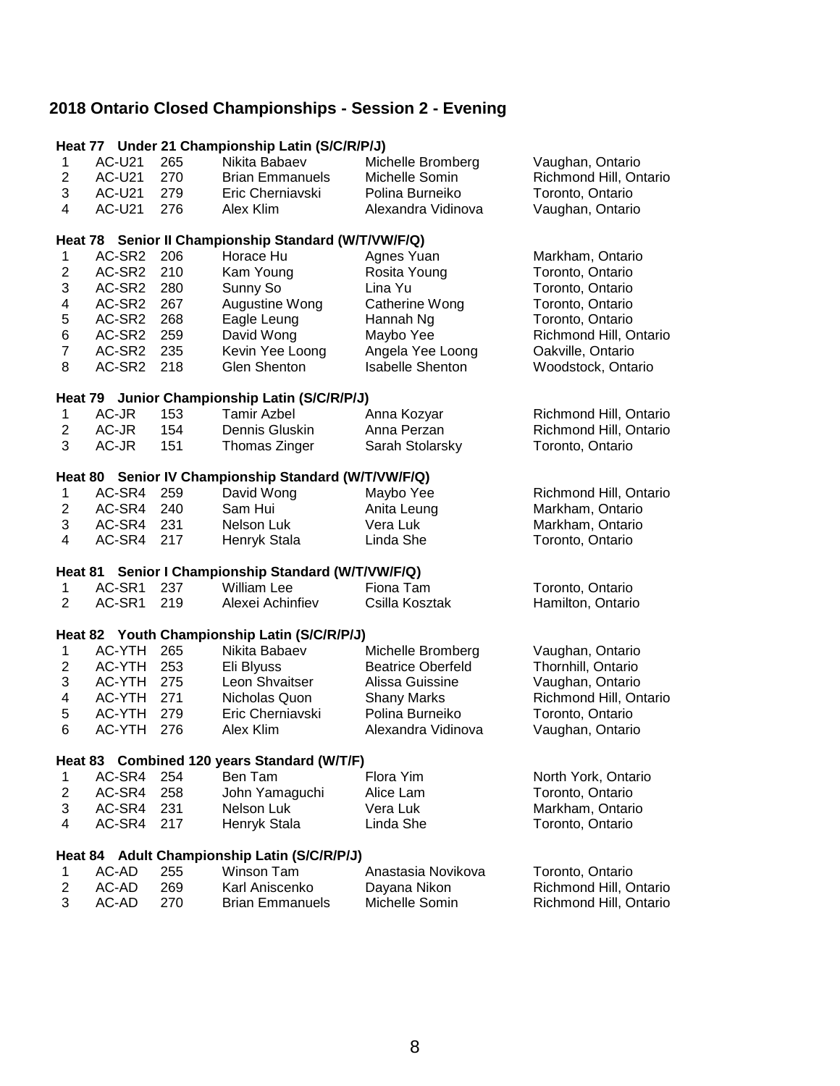|                         |                |     | Heat 77 Under 21 Championship Latin (S/C/R/P/J)      |                            |                        |
|-------------------------|----------------|-----|------------------------------------------------------|----------------------------|------------------------|
| 1                       | <b>AC-U21</b>  | 265 | Nikita Babaev                                        | Michelle Bromberg          | Vaughan, Ontario       |
| $\overline{2}$          | <b>AC-U21</b>  | 270 | <b>Brian Emmanuels</b>                               | Michelle Somin             | Richmond Hill, Ontario |
| 3                       | <b>AC-U21</b>  | 279 | Eric Cherniavski                                     | Polina Burneiko            | Toronto, Ontario       |
| 4                       | <b>AC-U21</b>  | 276 | Alex Klim                                            | Alexandra Vidinova         | Vaughan, Ontario       |
|                         |                |     |                                                      |                            |                        |
|                         |                |     | Heat 78 Senior II Championship Standard (W/T/VW/F/Q) |                            |                        |
| $\mathbf 1$             | AC-SR2         | 206 | Horace Hu                                            | Agnes Yuan                 | Markham, Ontario       |
| $\overline{2}$          | AC-SR2         | 210 | Kam Young                                            | Rosita Young               | Toronto, Ontario       |
| 3                       | AC-SR2         | 280 | Sunny So                                             | Lina Yu                    | Toronto, Ontario       |
| 4                       | AC-SR2         | 267 | Augustine Wong                                       | Catherine Wong             | Toronto, Ontario       |
| 5                       | AC-SR2         | 268 | Eagle Leung                                          | Hannah Ng                  | Toronto, Ontario       |
| 6                       | AC-SR2         | 259 | David Wong                                           | Maybo Yee                  | Richmond Hill, Ontario |
| $\overline{7}$          | AC-SR2         | 235 | Kevin Yee Loong                                      | Angela Yee Loong           | Oakville, Ontario      |
| 8                       | AC-SR2         | 218 | Glen Shenton                                         | <b>Isabelle Shenton</b>    | Woodstock, Ontario     |
|                         |                |     |                                                      |                            |                        |
|                         |                |     | Heat 79 Junior Championship Latin (S/C/R/P/J)        |                            |                        |
| $\mathbf 1$             | AC-JR<br>AC-JR | 153 | <b>Tamir Azbel</b>                                   | Anna Kozyar<br>Anna Perzan | Richmond Hill, Ontario |
| $\overline{\mathbf{c}}$ |                | 154 | Dennis Gluskin                                       |                            | Richmond Hill, Ontario |
| 3                       | AC-JR          | 151 | Thomas Zinger                                        | Sarah Stolarsky            | Toronto, Ontario       |
|                         |                |     | Heat 80 Senior IV Championship Standard (W/T/VW/F/Q) |                            |                        |
| 1                       | AC-SR4         | 259 | David Wong                                           | Maybo Yee                  | Richmond Hill, Ontario |
| $\overline{\mathbf{c}}$ | AC-SR4         | 240 | Sam Hui                                              | Anita Leung                | Markham, Ontario       |
| 3                       | AC-SR4         | 231 | Nelson Luk                                           | Vera Luk                   | Markham, Ontario       |
| $\overline{4}$          | AC-SR4         | 217 | Henryk Stala                                         | Linda She                  | Toronto, Ontario       |
|                         |                |     |                                                      |                            |                        |
|                         |                |     | Heat 81 Senior I Championship Standard (W/T/VW/F/Q)  |                            |                        |
| 1                       | AC-SR1         | 237 | <b>William Lee</b>                                   | Fiona Tam                  | Toronto, Ontario       |
| $\overline{2}$          | AC-SR1         | 219 | Alexei Achinfiev                                     | Csilla Kosztak             | Hamilton, Ontario      |
|                         |                |     | Heat 82 Youth Championship Latin (S/C/R/P/J)         |                            |                        |
| 1                       | AC-YTH         | 265 | Nikita Babaev                                        | Michelle Bromberg          | Vaughan, Ontario       |
| $\overline{2}$          | AC-YTH         | 253 | Eli Blyuss                                           | <b>Beatrice Oberfeld</b>   | Thornhill, Ontario     |
| 3                       | AC-YTH         | 275 | Leon Shvaitser                                       | Alissa Guissine            | Vaughan, Ontario       |
| 4                       | AC-YTH         | 271 | Nicholas Quon                                        | <b>Shany Marks</b>         | Richmond Hill, Ontario |
| 5                       | AC-YTH         | 279 | Eric Cherniavski                                     | Polina Burneiko            | Toronto, Ontario       |
| 6                       | AC-YTH         | 276 | Alex Klim                                            | Alexandra Vidinova         | Vaughan, Ontario       |
|                         |                |     |                                                      |                            |                        |
|                         |                |     | Heat 83 Combined 120 years Standard (W/T/F)          |                            |                        |
| 1                       | AC-SR4         | 254 | Ben Tam                                              | Flora Yim                  | North York, Ontario    |
| $\overline{\mathbf{c}}$ | AC-SR4         | 258 | John Yamaguchi                                       | Alice Lam                  | Toronto, Ontario       |
| 3                       | AC-SR4         | 231 | Nelson Luk                                           | Vera Luk                   | Markham, Ontario       |
| 4                       | AC-SR4         | 217 | Henryk Stala                                         | Linda She                  | Toronto, Ontario       |
|                         |                |     | Heat 84 Adult Championship Latin (S/C/R/P/J)         |                            |                        |
| 1                       | AC-AD          | 255 | Winson Tam                                           | Anastasia Novikova         | Toronto, Ontario       |
| 2                       | AC-AD          | 269 | Karl Aniscenko                                       | Dayana Nikon               | Richmond Hill, Ontario |
| 3                       | AC-AD          | 270 | <b>Brian Emmanuels</b>                               | Michelle Somin             | Richmond Hill, Ontario |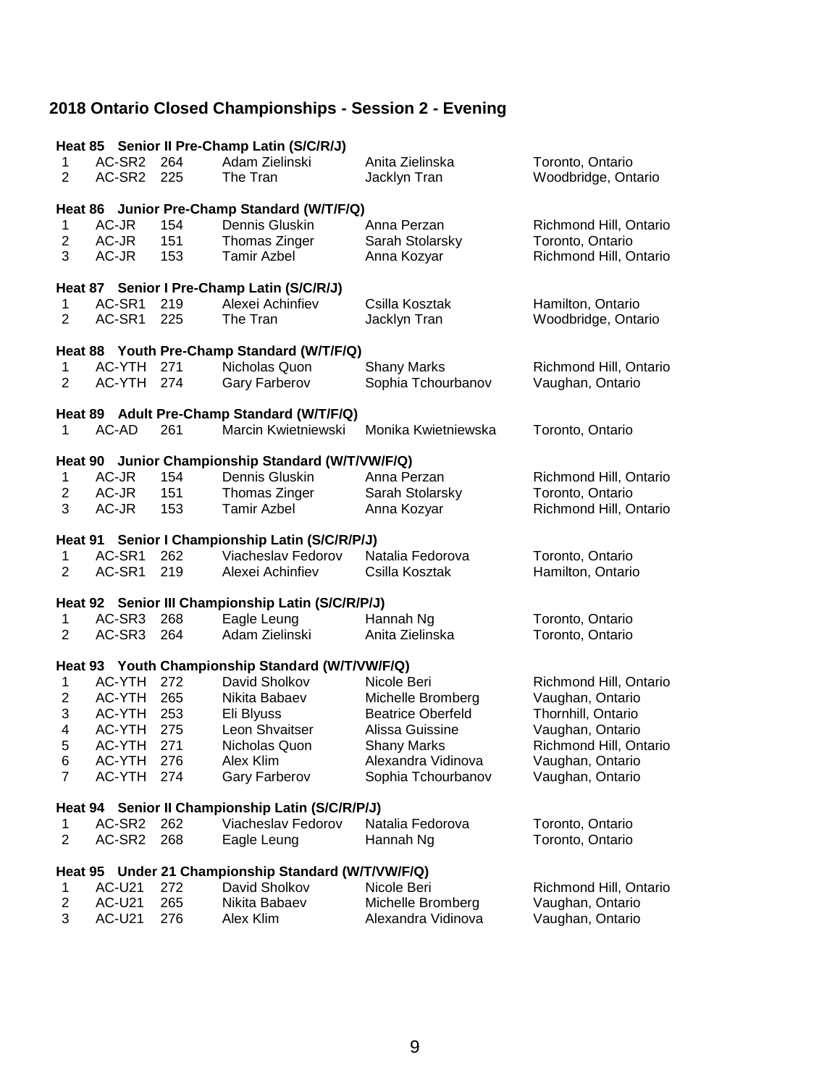|                              |                                             |            | Heat 85 Senior II Pre-Champ Latin (S/C/R/J)                 |                                          |                                       |  |  |  |
|------------------------------|---------------------------------------------|------------|-------------------------------------------------------------|------------------------------------------|---------------------------------------|--|--|--|
| 1                            | AC-SR2                                      | 264        | Adam Zielinski                                              | Anita Zielinska                          | Toronto, Ontario                      |  |  |  |
| 2                            | AC-SR2                                      | 225        | The Tran                                                    | Jacklyn Tran                             | Woodbridge, Ontario                   |  |  |  |
|                              | Heat 86 Junior Pre-Champ Standard (W/T/F/Q) |            |                                                             |                                          |                                       |  |  |  |
|                              |                                             |            |                                                             | Anna Perzan                              |                                       |  |  |  |
| 1<br>$\overline{\mathbf{c}}$ | AC-JR<br>AC-JR                              | 154<br>151 | Dennis Gluskin                                              |                                          | Richmond Hill, Ontario                |  |  |  |
| 3                            | AC-JR                                       | 153        | Thomas Zinger<br><b>Tamir Azbel</b>                         | Sarah Stolarsky                          | Toronto, Ontario                      |  |  |  |
|                              |                                             |            |                                                             | Anna Kozyar                              | Richmond Hill, Ontario                |  |  |  |
|                              |                                             |            | Heat 87 Senior I Pre-Champ Latin (S/C/R/J)                  |                                          |                                       |  |  |  |
| 1                            | AC-SR1                                      | 219        | Alexei Achinfiev                                            | Csilla Kosztak                           | Hamilton, Ontario                     |  |  |  |
| $\overline{2}$               | AC-SR1                                      | 225        | The Tran                                                    | Jacklyn Tran                             | Woodbridge, Ontario                   |  |  |  |
|                              |                                             |            |                                                             |                                          |                                       |  |  |  |
|                              | AC-YTH                                      | 271        | Heat 88 Youth Pre-Champ Standard (W/T/F/Q)<br>Nicholas Quon |                                          |                                       |  |  |  |
| 1<br>$\overline{2}$          | AC-YTH                                      | 274        | Gary Farberov                                               | <b>Shany Marks</b><br>Sophia Tchourbanov | Richmond Hill, Ontario                |  |  |  |
|                              |                                             |            |                                                             |                                          | Vaughan, Ontario                      |  |  |  |
|                              |                                             |            | Heat 89 Adult Pre-Champ Standard (W/T/F/Q)                  |                                          |                                       |  |  |  |
| 1                            | AC-AD                                       | 261        | Marcin Kwietniewski                                         | Monika Kwietniewska                      | Toronto, Ontario                      |  |  |  |
|                              |                                             |            |                                                             |                                          |                                       |  |  |  |
|                              |                                             |            | Heat 90 Junior Championship Standard (W/T/VW/F/Q)           |                                          |                                       |  |  |  |
| 1                            | AC-JR                                       | 154        | Dennis Gluskin                                              | Anna Perzan                              | Richmond Hill, Ontario                |  |  |  |
| $\overline{c}$               | AC-JR                                       | 151        | Thomas Zinger                                               | Sarah Stolarsky                          | Toronto, Ontario                      |  |  |  |
| 3                            | AC-JR                                       | 153        | <b>Tamir Azbel</b>                                          | Anna Kozyar                              | Richmond Hill, Ontario                |  |  |  |
|                              |                                             |            | Heat 91 Senior I Championship Latin (S/C/R/P/J)             |                                          |                                       |  |  |  |
|                              |                                             |            |                                                             |                                          |                                       |  |  |  |
| 1                            | AC-SR1                                      | 262        | Viacheslav Fedorov                                          | Natalia Fedorova                         |                                       |  |  |  |
| 2                            | AC-SR1                                      | 219        | Alexei Achinfiev                                            | Csilla Kosztak                           | Toronto, Ontario<br>Hamilton, Ontario |  |  |  |
|                              |                                             |            |                                                             |                                          |                                       |  |  |  |
|                              |                                             |            | Heat 92 Senior III Championship Latin (S/C/R/P/J)           |                                          |                                       |  |  |  |
| $\mathbf 1$                  | AC-SR3                                      | 268        | Eagle Leung                                                 | Hannah Ng                                | Toronto, Ontario                      |  |  |  |
| 2                            | AC-SR3                                      | 264        | Adam Zielinski                                              | Anita Zielinska                          | Toronto, Ontario                      |  |  |  |
|                              |                                             |            | Heat 93 Youth Championship Standard (W/T/VW/F/Q)            |                                          |                                       |  |  |  |
| 1                            | AC-YTH                                      | 272        | David Sholkov                                               | Nicole Beri                              | Richmond Hill, Ontario                |  |  |  |
| 2                            | AC-YTH                                      | 265        | Nikita Babaev                                               | Michelle Bromberg                        | Vaughan, Ontario                      |  |  |  |
| 3                            | AC-YTH                                      | 253        | Eli Blyuss                                                  | <b>Beatrice Oberfeld</b>                 | Thornhill, Ontario                    |  |  |  |
| 4                            | AC-YTH                                      | 275        | Leon Shvaitser                                              | Alissa Guissine                          | Vaughan, Ontario                      |  |  |  |
| 5                            | AC-YTH                                      | 271        | Nicholas Quon                                               | Shany Marks                              | Richmond Hill, Ontario                |  |  |  |
| 6                            | AC-YTH                                      | 276        | Alex Klim                                                   | Alexandra Vidinova                       | Vaughan, Ontario                      |  |  |  |
| $\overline{7}$               | <b>AC-YTH</b>                               | 274        | Gary Farberov                                               | Sophia Tchourbanov                       | Vaughan, Ontario                      |  |  |  |
|                              |                                             |            |                                                             |                                          |                                       |  |  |  |
|                              |                                             |            | Heat 94 Senior II Championship Latin (S/C/R/P/J)            |                                          |                                       |  |  |  |
| 1<br>$\overline{c}$          | AC-SR2<br>AC-SR2                            | 262<br>268 | Viacheslav Fedorov<br>Eagle Leung                           | Natalia Fedorova                         | Toronto, Ontario                      |  |  |  |
|                              |                                             |            |                                                             | Hannah Ng                                | Toronto, Ontario                      |  |  |  |
| Heat 95                      |                                             |            | Under 21 Championship Standard (W/T/VW/F/Q)                 |                                          |                                       |  |  |  |
| 1                            | <b>AC-U21</b>                               | 272        | David Sholkov                                               | Nicole Beri                              | Richmond Hill, Ontario                |  |  |  |
| 2<br>3                       | <b>AC-U21</b><br><b>AC-U21</b>              | 265<br>276 | Nikita Babaev<br>Alex Klim                                  | Michelle Bromberg<br>Alexandra Vidinova  | Vaughan, Ontario<br>Vaughan, Ontario  |  |  |  |